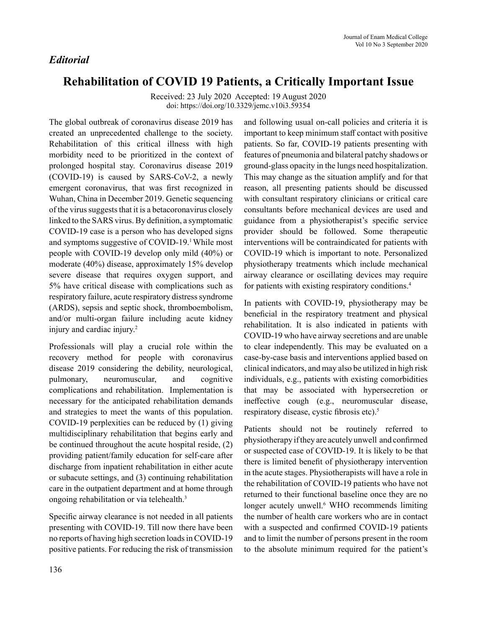## *Editorial*

# **Rehabilitation of COVID 19 Patients, a Critically Important Issue**

Received: 23 July 2020 Accepted: 19 August 2020 doi: https://doi.org/10.3329/jemc.v10i3.59354

The global outbreak of coronavirus disease 2019 has created an unprecedented challenge to the society. Rehabilitation of this critical illness with high morbidity need to be prioritized in the context of prolonged hospital stay. Coronavirus disease 2019 (COVID-19) is caused by SARS-CoV-2, a newly emergent coronavirus, that was first recognized in Wuhan, China in December 2019. Genetic sequencing of the virus suggests that it is a betacoronavirus closely linked to the SARS virus. By definition, a symptomatic COVID-19 case is a person who has developed signs and symptoms suggestive of COVID-19.<sup>1</sup> While most people with COVID-19 develop only mild (40%) or moderate (40%) disease, approximately 15% develop severe disease that requires oxygen support, and 5% have critical disease with complications such as respiratory failure, acute respiratory distress syndrome (ARDS), sepsis and septic shock, thromboembolism, and/or multi-organ failure including acute kidney injury and cardiac injury.2

Professionals will play a crucial role within the recovery method for people with coronavirus disease 2019 considering the debility, neurological, pulmonary, neuromuscular, and cognitive complications and rehabilitation. Implementation is necessary for the anticipated rehabilitation demands and strategies to meet the wants of this population. COVID-19 perplexities can be reduced by (1) giving multidisciplinary rehabilitation that begins early and be continued throughout the acute hospital reside, (2) providing patient/family education for self-care after discharge from inpatient rehabilitation in either acute or subacute settings, and (3) continuing rehabilitation care in the outpatient department and at home through ongoing rehabilitation or via telehealth.<sup>3</sup>

Specific airway clearance is not needed in all patients presenting with COVID-19. Till now there have been no reports of having high secretion loads in COVID-19 positive patients. For reducing the risk of transmission and following usual on-call policies and criteria it is important to keep minimum staff contact with positive patients. So far, COVID-19 patients presenting with features of pneumonia and bilateral patchy shadows or ground-glass opacity in the lungs need hospitalization. This may change as the situation amplify and for that reason, all presenting patients should be discussed with consultant respiratory clinicians or critical care consultants before mechanical devices are used and guidance from a physiotherapist's specific service provider should be followed. Some therapeutic interventions will be contraindicated for patients with COVID-19 which is important to note. Personalized physiotherapy treatments which include mechanical airway clearance or oscillating devices may require for patients with existing respiratory conditions.4

In patients with COVID-19, physiotherapy may be beneficial in the respiratory treatment and physical rehabilitation. It is also indicated in patients with COVID-19 who have airway secretions and are unable to clear independently. This may be evaluated on a case-by-case basis and interventions applied based on clinical indicators, and may also be utilized in high risk individuals, e.g., patients with existing comorbidities that may be associated with hypersecretion or ineffective cough (e.g., neuromuscular disease, respiratory disease, cystic fibrosis etc).<sup>5</sup>

Patients should not be routinely referred to physiotherapy if they are acutely unwell and confirmed or suspected case of COVID-19. It is likely to be that there is limited benefit of physiotherapy intervention in the acute stages. Physiotherapists will have a role in the rehabilitation of COVID-19 patients who have not returned to their functional baseline once they are no longer acutely unwell.<sup>6</sup> WHO recommends limiting the number of health care workers who are in contact with a suspected and confirmed COVID-19 patients and to limit the number of persons present in the room to the absolute minimum required for the patient's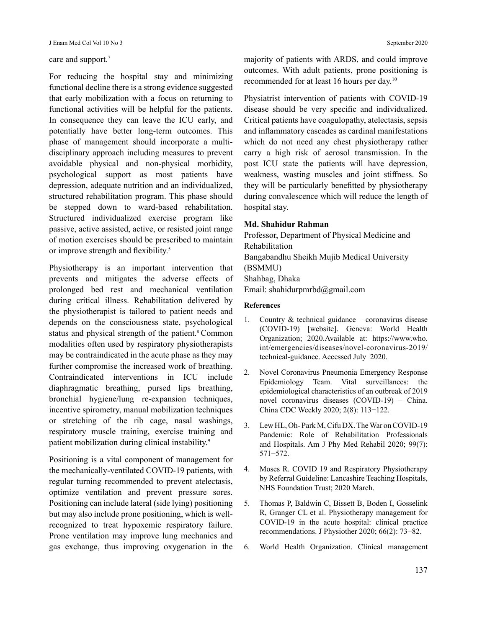#### care and support.<sup>7</sup>

For reducing the hospital stay and minimizing functional decline there is a strong evidence suggested that early mobilization with a focus on returning to functional activities will be helpful for the patients. In consequence they can leave the ICU early, and potentially have better long-term outcomes. This phase of management should incorporate a multidisciplinary approach including measures to prevent avoidable physical and non-physical morbidity, psychological support as most patients have depression, adequate nutrition and an individualized, structured rehabilitation program. This phase should be stepped down to ward-based rehabilitation. Structured individualized exercise program like passive, active assisted, active, or resisted joint range of motion exercises should be prescribed to maintain or improve strength and flexibility.<sup>5</sup>

Physiotherapy is an important intervention that prevents and mitigates the adverse effects of prolonged bed rest and mechanical ventilation during critical illness. Rehabilitation delivered by the physiotherapist is tailored to patient needs and depends on the consciousness state, psychological status and physical strength of the patient.<sup>8</sup> Common modalities often used by respiratory physiotherapists may be contraindicated in the acute phase as they may further compromise the increased work of breathing. Contraindicated interventions in ICU include diaphragmatic breathing, pursed lips breathing, bronchial hygiene/lung re-expansion techniques, incentive spirometry, manual mobilization techniques or stretching of the rib cage, nasal washings, respiratory muscle training, exercise training and patient mobilization during clinical instability.<sup>9</sup>

Positioning is a vital component of management for the mechanically-ventilated COVID-19 patients, with regular turning recommended to prevent atelectasis, optimize ventilation and prevent pressure sores. Positioning can include lateral (side lying) positioning but may also include prone positioning, which is wellrecognized to treat hypoxemic respiratory failure. Prone ventilation may improve lung mechanics and gas exchange, thus improving oxygenation in the majority of patients with ARDS, and could improve outcomes. With adult patients, prone positioning is recommended for at least 16 hours per day.10

Physiatrist intervention of patients with COVID-19 disease should be very specific and individualized. Critical patients have coagulopathy, atelectasis, sepsis and inflammatory cascades as cardinal manifestations which do not need any chest physiotherapy rather carry a high risk of aerosol transmission. In the post ICU state the patients will have depression, weakness, wasting muscles and joint stiffness. So they will be particularly benefitted by physiotherapy during convalescence which will reduce the length of hospital stay.

### **Md. Shahidur Rahman**

Professor, Department of Physical Medicine and Rehabilitation Bangabandhu Sheikh Mujib Medical University (BSMMU) Shahbag, Dhaka Email: shahidurpmrbd@gmail.com

#### **References**

- 1. Country & technical guidance coronavirus disease (COVID-19) [website]. Geneva: World Health Organization; 2020.Available at: https://www.who. int/emergencies/diseases/novel-coronavirus-2019/ technical-guidance. Accessed July 2020.
- 2. Novel Coronavirus Pneumonia Emergency Response Epidemiology Team. Vital surveillances: the epidemiological characteristics of an outbreak of 2019 novel coronavirus diseases (COVID-19) – China. China CDC Weekly 2020; 2(8): 113−122.
- 3. Lew HL, Oh- Park M, Cifu DX. The War on COVID-19 Pandemic: Role of Rehabilitation Professionals and Hospitals. Am J Phy Med Rehabil 2020; 99(7): 571−572.
- 4. Moses R. COVID 19 and Respiratory Physiotherapy by Referral Guideline: Lancashire Teaching Hospitals, NHS Foundation Trust; 2020 March.
- 5. Thomas P, Baldwin C, Bissett B, Boden I, Gosselink R, Granger CL et al. Physiotherapy management for COVID-19 in the acute hospital: clinical practice recommendations. J Physiother 2020; 66(2): 73−82.
- 6. World Health Organization. Clinical management